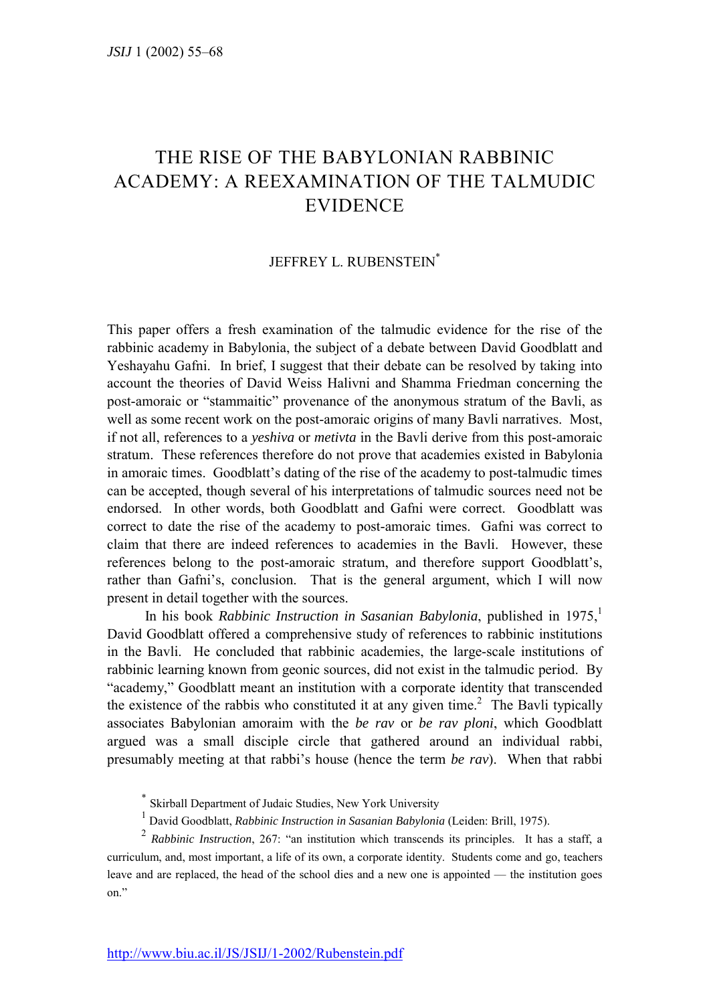## THE RISE OF THE BABYLONIAN RABBINIC ACADEMY: A REEXAMINATION OF THE TALMUDIC EVIDENCE

## JEFFREY L. RUBENSTEIN<sup>\*</sup>

This paper offers a fresh examination of the talmudic evidence for the rise of the rabbinic academy in Babylonia, the subject of a debate between David Goodblatt and Yeshayahu Gafni. In brief, I suggest that their debate can be resolved by taking into account the theories of David Weiss Halivni and Shamma Friedman concerning the post-amoraic or "stammaitic" provenance of the anonymous stratum of the Bavli, as well as some recent work on the post-amoraic origins of many Bavli narratives. Most, if not all, references to a *yeshiva* or *metivta* in the Bavli derive from this post-amoraic stratum. These references therefore do not prove that academies existed in Babylonia in amoraic times. Goodblatt's dating of the rise of the academy to post-talmudic times can be accepted, though several of his interpretations of talmudic sources need not be endorsed. In other words, both Goodblatt and Gafni were correct. Goodblatt was correct to date the rise of the academy to post-amoraic times. Gafni was correct to claim that there are indeed references to academies in the Bavli. However, these references belong to the post-amoraic stratum, and therefore support Goodblatt's, rather than Gafni's, conclusion. That is the general argument, which I will now present in detail together with the sources.

In his book *Rabbinic Instruction in Sasanian Babylonia*, published in 1975,<sup>1</sup> David Goodblatt offered a comprehensive study of references to rabbinic institutions in the Bavli. He concluded that rabbinic academies, the large-scale institutions of rabbinic learning known from geonic sources, did not exist in the talmudic period. By ìacademy,î Goodblatt meant an institution with a corporate identity that transcended the existence of the rabbis who constituted it at any given time.<sup>2</sup> The Bavli typically associates Babylonian amoraim with the *be rav* or *be rav ploni*, which Goodblatt argued was a small disciple circle that gathered around an individual rabbi, presumably meeting at that rabbi's house (hence the term *be rav*). When that rabbi

- \* Skirball Department of Judaic Studies, New York University
- 1 David Goodblatt, *Rabbinic Instruction in Sasanian Babylonia* (Leiden: Brill, 1975).

 $2$  *Rabbinic Instruction*, 267: "an institution which transcends its principles. It has a staff, a curriculum, and, most important, a life of its own, a corporate identity. Students come and go, teachers leave and are replaced, the head of the school dies and a new one is appointed — the institution goes on."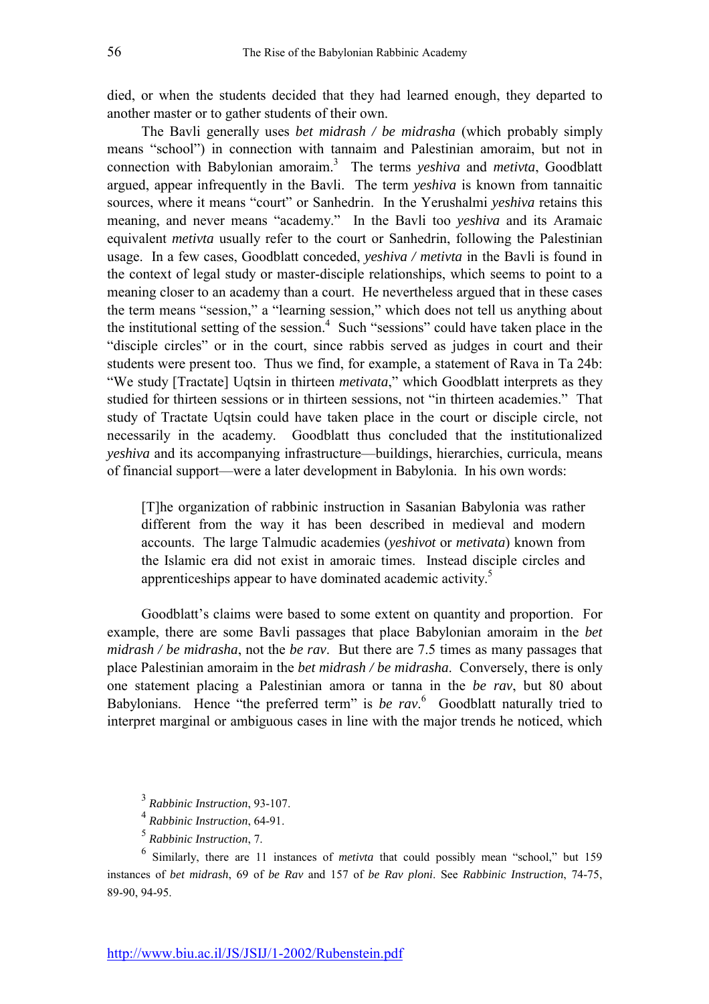died, or when the students decided that they had learned enough, they departed to another master or to gather students of their own.

The Bavli generally uses *bet midrash / be midrasha* (which probably simply means "school") in connection with tannaim and Palestinian amoraim, but not in connection with Babylonian amoraim.3 The terms *yeshiva* and *metivta*, Goodblatt argued, appear infrequently in the Bavli. The term *yeshiva* is known from tannaitic sources, where it means "court" or Sanhedrin. In the Yerushalmi *veshiva* retains this meaning, and never means "academy." In the Bavli too *yeshiva* and its Aramaic equivalent *metivta* usually refer to the court or Sanhedrin, following the Palestinian usage. In a few cases, Goodblatt conceded, *yeshiva / metivta* in the Bavli is found in the context of legal study or master-disciple relationships, which seems to point to a meaning closer to an academy than a court. He nevertheless argued that in these cases the term means "session," a "learning session," which does not tell us anything about the institutional setting of the session. $4$  Such "sessions" could have taken place in the "disciple circles" or in the court, since rabbis served as judges in court and their students were present too. Thus we find, for example, a statement of Rava in Ta 24b: "We study [Tractate] Uqtsin in thirteen *metivata*," which Goodblatt interprets as they studied for thirteen sessions or in thirteen sessions, not "in thirteen academies." That study of Tractate Uqtsin could have taken place in the court or disciple circle, not necessarily in the academy. Goodblatt thus concluded that the institutionalized *yeshiva* and its accompanying infrastructure—buildings, hierarchies, curricula, means of financial support—were a later development in Babylonia. In his own words:

[T]he organization of rabbinic instruction in Sasanian Babylonia was rather different from the way it has been described in medieval and modern accounts. The large Talmudic academies (*yeshivot* or *metivata*) known from the Islamic era did not exist in amoraic times. Instead disciple circles and apprenticeships appear to have dominated academic activity.<sup>5</sup>

Goodblatt's claims were based to some extent on quantity and proportion. For example, there are some Bavli passages that place Babylonian amoraim in the *bet midrash / be midrasha*, not the *be rav*. But there are 7.5 times as many passages that place Palestinian amoraim in the *bet midrash / be midrasha*. Conversely, there is only one statement placing a Palestinian amora or tanna in the *be rav*, but 80 about Babylonians. Hence "the preferred term" is *be rav*.<sup>6</sup> Goodblatt naturally tried to interpret marginal or ambiguous cases in line with the major trends he noticed, which

<sup>3</sup> *Rabbinic Instruction*, 93-107.

<sup>4</sup> *Rabbinic Instruction*, 64-91.

<sup>5</sup> *Rabbinic Instruction*, 7.

 $6$  Similarly, there are 11 instances of *metivta* that could possibly mean "school," but 159 instances of *bet midrash*, 69 of *be Rav* and 157 of *be Rav ploni*. See *Rabbinic Instruction*, 74-75, 89-90, 94-95.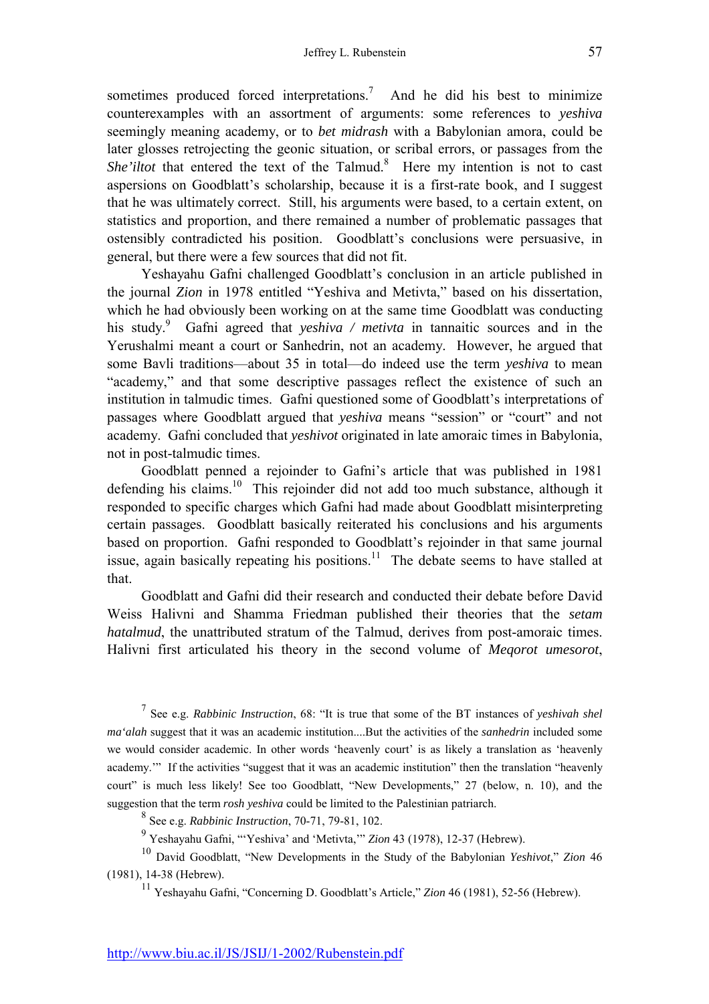sometimes produced forced interpretations.<sup>7</sup> And he did his best to minimize counterexamples with an assortment of arguments: some references to *yeshiva* seemingly meaning academy, or to *bet midrash* with a Babylonian amora, could be later glosses retrojecting the geonic situation, or scribal errors, or passages from the She'iltot that entered the text of the Talmud.<sup>8</sup> Here my intention is not to cast aspersions on Goodblatt's scholarship, because it is a first-rate book, and I suggest that he was ultimately correct. Still, his arguments were based, to a certain extent, on statistics and proportion, and there remained a number of problematic passages that ostensibly contradicted his position. Goodblatt's conclusions were persuasive, in general, but there were a few sources that did not fit.

Yeshayahu Gafni challenged Goodblatt's conclusion in an article published in the journal *Zion* in 1978 entitled "Yeshiva and Metivta," based on his dissertation, which he had obviously been working on at the same time Goodblatt was conducting his study.<sup>9</sup> Gafni agreed that *yeshiva / metivta* in tannaitic sources and in the Yerushalmi meant a court or Sanhedrin, not an academy. However, he argued that some Bavli traditions—about 35 in total—do indeed use the term *yeshiva* to mean "academy," and that some descriptive passages reflect the existence of such an institution in talmudic times. Gafni questioned some of Goodblatt's interpretations of passages where Goodblatt argued that *yeshiva* means "session" or "court" and not academy. Gafni concluded that *yeshivot* originated in late amoraic times in Babylonia, not in post-talmudic times.

Goodblatt penned a rejoinder to Gafni's article that was published in 1981 defending his claims.<sup>10</sup> This rejoinder did not add too much substance, although it responded to specific charges which Gafni had made about Goodblatt misinterpreting certain passages. Goodblatt basically reiterated his conclusions and his arguments based on proportion. Gafni responded to Goodblatt's rejoinder in that same journal issue, again basically repeating his positions.<sup>11</sup> The debate seems to have stalled at that.

Goodblatt and Gafni did their research and conducted their debate before David Weiss Halivni and Shamma Friedman published their theories that the *setam hatalmud*, the unattributed stratum of the Talmud, derives from post-amoraic times. Halivni first articulated his theory in the second volume of *Meqorot umesorot*,

<sup>7</sup> See e.g. *Rabbinic Instruction*, 68: "It is true that some of the BT instances of *yeshivah shel ma'alah* suggest that it was an academic institution....But the activities of the *sanhedrin* included some we would consider academic. In other words 'heavenly court' is as likely a translation as 'heavenly academy." If the activities "suggest that it was an academic institution" then the translation "heavenly court" is much less likely! See too Goodblatt, "New Developments," 27 (below, n. 10), and the suggestion that the term *rosh yeshiva* could be limited to the Palestinian patriarch.

8 See e.g. *Rabbinic Instruction*, 70-71, 79-81, 102.

<sup>9</sup> Yeshayahu Gafni, "Yeshiva' and 'Metivta," *Zion* 43 (1978), 12-37 (Hebrew).

<sup>10</sup> David Goodblatt, "New Developments in the Study of the Babylonian *Yeshivot*," *Zion* 46 (1981), 14-38 (Hebrew).

<sup>11</sup> Yeshayahu Gafni, "Concerning D. Goodblatt's Article," *Zion* 46 (1981), 52-56 (Hebrew).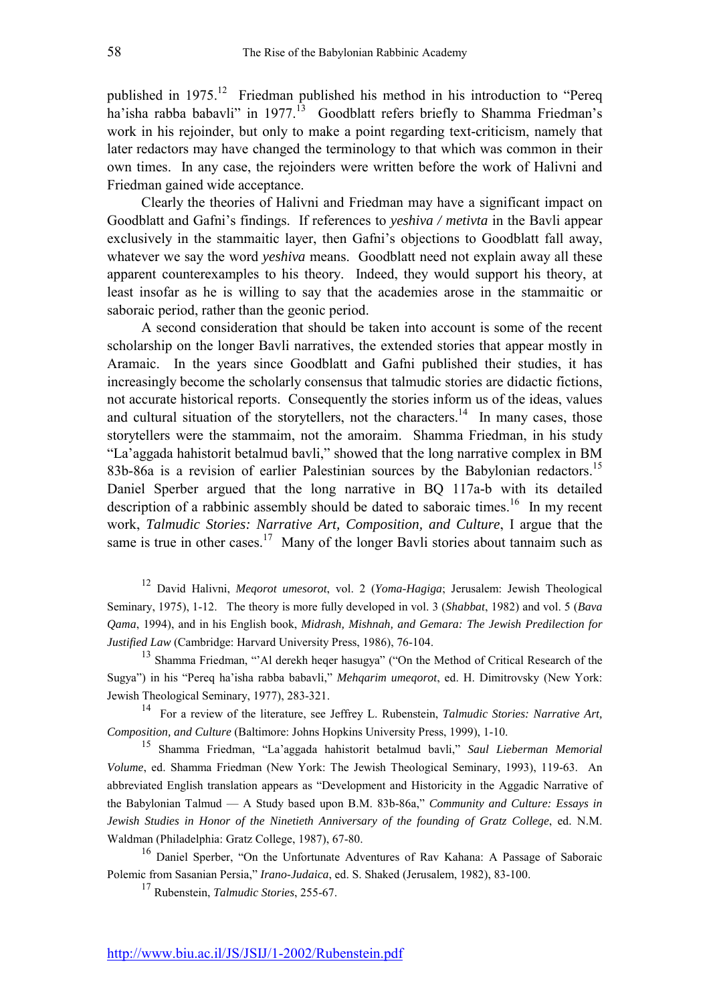published in  $1975$ .<sup>12</sup> Friedman published his method in his introduction to "Pereq ha'isha rabba babavli" in 1977.<sup>13</sup> Goodblatt refers briefly to Shamma Friedman's work in his rejoinder, but only to make a point regarding text-criticism, namely that later redactors may have changed the terminology to that which was common in their own times. In any case, the rejoinders were written before the work of Halivni and Friedman gained wide acceptance.

Clearly the theories of Halivni and Friedman may have a significant impact on Goodblatt and Gafni's findings. If references to *yeshiva / metivta* in the Bavli appear exclusively in the stammaitic layer, then Gafni's objections to Goodblatt fall away, whatever we say the word *yeshiva* means. Goodblatt need not explain away all these apparent counterexamples to his theory. Indeed, they would support his theory, at least insofar as he is willing to say that the academies arose in the stammaitic or saboraic period, rather than the geonic period.

A second consideration that should be taken into account is some of the recent scholarship on the longer Bavli narratives, the extended stories that appear mostly in Aramaic. In the years since Goodblatt and Gafni published their studies, it has increasingly become the scholarly consensus that talmudic stories are didactic fictions, not accurate historical reports. Consequently the stories inform us of the ideas, values and cultural situation of the storytellers, not the characters.<sup>14</sup> In many cases, those storytellers were the stammaim, not the amoraim. Shamma Friedman, in his study ìLaíaggada hahistorit betalmud bavli,î showed that the long narrative complex in BM 83b-86a is a revision of earlier Palestinian sources by the Babylonian redactors.<sup>15</sup> Daniel Sperber argued that the long narrative in BQ 117a-b with its detailed description of a rabbinic assembly should be dated to saboraic times.<sup>16</sup> In my recent work, *Talmudic Stories: Narrative Art, Composition, and Culture*, I argue that the same is true in other cases.<sup>17</sup> Many of the longer Bavli stories about tannaim such as

12 David Halivni, *Meqorot umesorot*, vol. 2 (*Yoma-Hagiga*; Jerusalem: Jewish Theological Seminary, 1975), 1-12. The theory is more fully developed in vol. 3 (*Shabbat*, 1982) and vol. 5 (*Bava Qama*, 1994), and in his English book, *Midrash, Mishnah, and Gemara: The Jewish Predilection for Justified Law* (Cambridge: Harvard University Press, 1986), 76-104.

 $13$  Shamma Friedman, "`Al derekh heger hasugya" ("On the Method of Critical Research of the Sugya") in his "Pereq ha'isha rabba babavli," *Mehqarim umeqorot*, ed. H. Dimitrovsky (New York: Jewish Theological Seminary, 1977), 283-321.

14 For a review of the literature, see Jeffrey L. Rubenstein, *Talmudic Stories: Narrative Art, Composition, and Culture* (Baltimore: Johns Hopkins University Press, 1999), 1-10.

<sup>15</sup> Shamma Friedman, "La'aggada hahistorit betalmud bavli," *Saul Lieberman Memorial Volume*, ed. Shamma Friedman (New York: The Jewish Theological Seminary, 1993), 119-63. An abbreviated English translation appears as "Development and Historicity in the Aggadic Narrative of the Babylonian Talmud – A Study based upon B.M. 83b-86a," *Community and Culture: Essays in Jewish Studies in Honor of the Ninetieth Anniversary of the founding of Gratz College*, ed. N.M. Waldman (Philadelphia: Gratz College, 1987), 67-80.

<sup>16</sup> Daniel Sperber, "On the Unfortunate Adventures of Rav Kahana: A Passage of Saboraic Polemic from Sasanian Persia,î *Irano-Judaica*, ed. S. Shaked (Jerusalem, 1982), 83-100.

17 Rubenstein, *Talmudic Stories*, 255-67.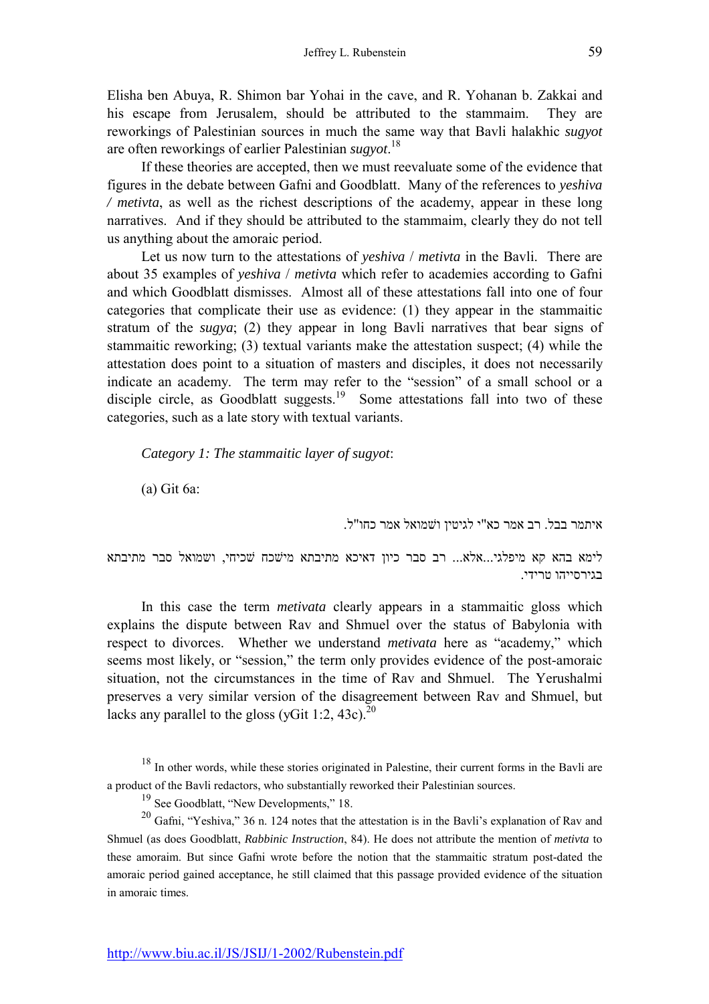Elisha ben Abuya, R. Shimon bar Yohai in the cave, and R. Yohanan b. Zakkai and his escape from Jerusalem, should be attributed to the stammaim. They are reworkings of Palestinian sources in much the same way that Bavli halakhic *sugyot* are often reworkings of earlier Palestinian *sugyot*. 18

If these theories are accepted, then we must reevaluate some of the evidence that figures in the debate between Gafni and Goodblatt. Many of the references to *yeshiva / metivta*, as well as the richest descriptions of the academy, appear in these long narratives. And if they should be attributed to the stammaim, clearly they do not tell us anything about the amoraic period.

Let us now turn to the attestations of *yeshiva / metivta* in the Bavli. There are about 35 examples of *yeshiva* / *metivta* which refer to academies according to Gafni and which Goodblatt dismisses. Almost all of these attestations fall into one of four categories that complicate their use as evidence: (1) they appear in the stammaitic stratum of the *sugya*; (2) they appear in long Bavli narratives that bear signs of stammaitic reworking; (3) textual variants make the attestation suspect; (4) while the attestation does point to a situation of masters and disciples, it does not necessarily indicate an academy. The term may refer to the "session" of a small school or a disciple circle, as Goodblatt suggests.<sup>19</sup> Some attestations fall into two of these categories, such as a late story with textual variants.

*Category 1: The stammaitic layer of sugyot*:

(a) Git 6a:

איתמר בבל. רב אמר כא"י לגיטין וׁמואל אמר כחו"ל.

לימא בהא קא מיפלגי...אלא... רב סבר כיון דאיכא מתיבתא מיׁכח ׁכיחי, ושמואל סבר מתיבתא בגירסייהו טרידי.

In this case the term *metivata* clearly appears in a stammaitic gloss which explains the dispute between Rav and Shmuel over the status of Babylonia with respect to divorces. Whether we understand *metivata* here as "academy," which seems most likely, or "session," the term only provides evidence of the post-amoraic situation, not the circumstances in the time of Rav and Shmuel. The Yerushalmi preserves a very similar version of the disagreement between Rav and Shmuel, but lacks any parallel to the gloss (yGit 1:2, 43c).<sup>20</sup>

<sup>18</sup> In other words, while these stories originated in Palestine, their current forms in the Bavli are a product of the Bavli redactors, who substantially reworked their Palestinian sources.

 $19$  See Goodblatt, "New Developments," 18.

 $20$  Gafni, "Yeshiva," 36 n. 124 notes that the attestation is in the Bavli's explanation of Rav and Shmuel (as does Goodblatt, *Rabbinic Instruction*, 84). He does not attribute the mention of *metivta* to these amoraim. But since Gafni wrote before the notion that the stammaitic stratum post-dated the amoraic period gained acceptance, he still claimed that this passage provided evidence of the situation in amoraic times.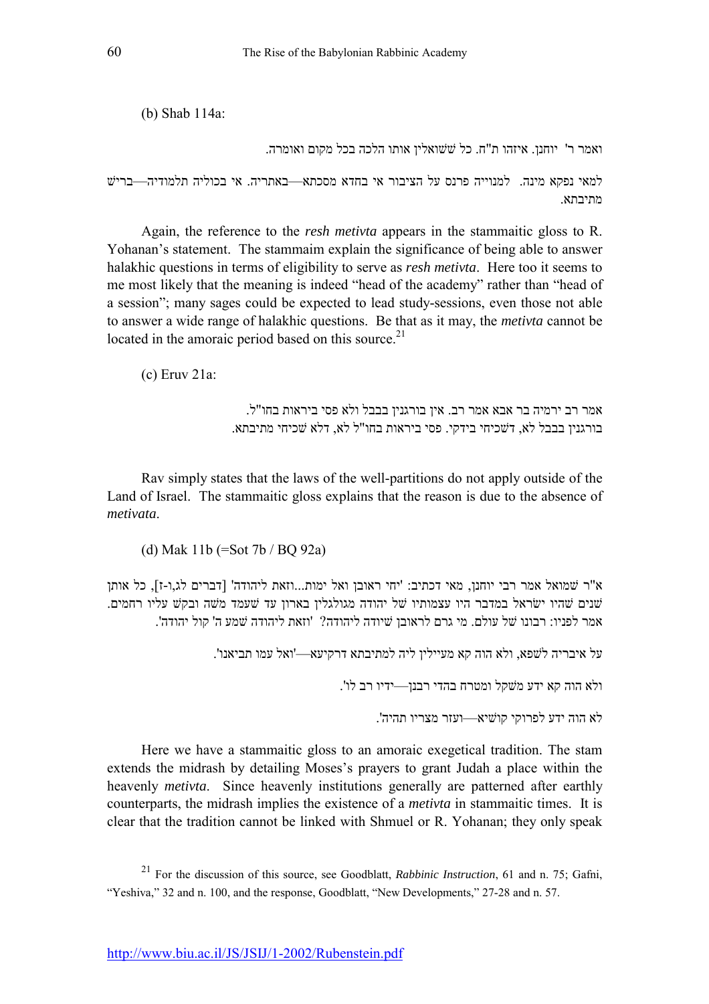(b) Shab 114a:

ואמר ר' יוחנן. איזהו ת"ח. כל ׁׁואלין אותו הלכה בכל מקום ואומרה.

למאי נפקא מינה. למנוייה פרנס על הציבור אי בחדא מסכתא—באתריה. אי בכוליה תלמודיה—בריש מתיבתא.

Again, the reference to the *resh metivta* appears in the stammaitic gloss to R. Yohanan's statement. The stammaim explain the significance of being able to answer halakhic questions in terms of eligibility to serve as *resh metivta*. Here too it seems to me most likely that the meaning is indeed "head of the academy" rather than "head of a sessionî; many sages could be expected to lead study-sessions, even those not able to answer a wide range of halakhic questions. Be that as it may, the *metivta* cannot be located in the amoraic period based on this source. $21$ 

(c) Eruv 21a:

אמר רב ירמיה בר אבא אמר רב. אין בורגנין בבבל ולא פסי ביראות בחו"ל. בורגנין בבבל לא, דׁכיחי בידקי. פסי ביראות בחו"ל לא, דלא ׁכיחי מתיבתא.

Rav simply states that the laws of the well-partitions do not apply outside of the Land of Israel. The stammaitic gloss explains that the reason is due to the absence of *metivata*.

(d) Mak 11b (=Sot 7b / BQ 92a)

א"ר ׁמואל אמר רבי יוחנן, מאי דכתיב: 'יחי ראובן ואל ימות...וזאת ליהודה' [דברים לג,ו-ז], כל אותן ֿשנים שהיו ישׂראל במדבר היו עצמותיו של יהודה מגולגלין בארון עד שעמד משה ובקש עליו רחמים. אמר לפניו: רבונו ׁל עולם. מי גרם לראובן ׁיודה ליהודה? 'וזאת ליהודה ׁמע ה' קול יהודה'.

על איבריה לׁפא, ולא הוה קא מעיילין ליה למתיבתא דרקיעאó'ואל עמו תביאנו'.

ולא הוה קא ידע מׁקל ומטרח בהדי רבנןóידיו רב לו'.

לא הוה ידע לפרוקי קוׁיאóועזר מצריו תהיה'.

Here we have a stammaitic gloss to an amoraic exegetical tradition. The stam extends the midrash by detailing Moses's prayers to grant Judah a place within the heavenly *metivta*. Since heavenly institutions generally are patterned after earthly counterparts, the midrash implies the existence of a *metivta* in stammaitic times. It is clear that the tradition cannot be linked with Shmuel or R. Yohanan; they only speak

<sup>21</sup> For the discussion of this source, see Goodblatt, *Rabbinic Instruction*, 61 and n. 75; Gafni, "Yeshiva," 32 and n. 100, and the response, Goodblatt, "New Developments," 27-28 and n. 57.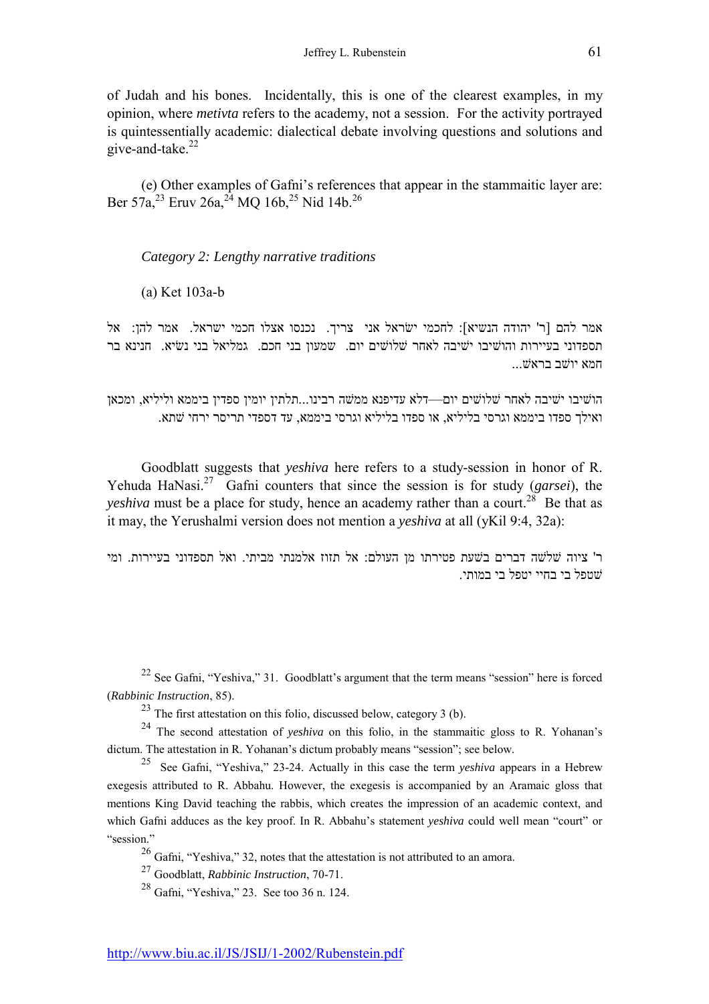of Judah and his bones. Incidentally, this is one of the clearest examples, in my opinion, where *metivta* refers to the academy, not a session. For the activity portrayed is quintessentially academic: dialectical debate involving questions and solutions and give-and-take. $22$ 

(e) Other examples of Gafniís references that appear in the stammaitic layer are: Ber  $57a^{23}$  Eruv  $26a^{24}$  MO  $16b^{25}$  Nid  $14b^{26}$ 

## *Category 2: Lengthy narrative traditions*

(a) Ket 103a-b

אמר להם [ר' יהודה הנשיא]: לחכמי ישראל אני צריך. נכנסו אצלו חכמי ישראל. אמר להן: אל תספדוני בעיירות והוֹשיבו יֹשיבה לאחר שׁלוֹשים יום. שמעון בני חכם. גמליאל בני נשיא. חנינא בר תמא יוֹשׁב בראשׁ ...

הוֹשיבו יֹשיבה לאחר שלוֹשים יום—דלא עדיפנא ממֹשה רבינו...תלתין יומין ספדין ביממא וליליא, ומכאן ואילך ספדו ביממא וגרסי בליליא, או ספדו בליליא וגרסי ביממא, עד דספדי תריסר ירחי ׁתא.

Goodblatt suggests that *yeshiva* here refers to a study-session in honor of R. Yehuda HaNasi.27 Gafni counters that since the session is for study (*garsei*), the *yeshiva* must be a place for study, hence an academy rather than a court.<sup>28</sup> Be that as it may, the Yerushalmi version does not mention a *yeshiva* at all (yKil 9:4, 32a):

ר' ציוה ׁלׁה דברים בׁעת פטירתו מן העולם: אל תזוז אלמנתי מביתי. ואל תספדוני בעיירות. ומי ׁטפל בי בחיי יטפל בי במותי.

<sup>22</sup> See Gafni, "Yeshiva," 31. Goodblatt's argument that the term means "session" here is forced (*Rabbinic Instruction*, 85).

 $^{23}$  The first attestation on this folio, discussed below, category 3 (b).

<sup>24</sup> The second attestation of *yeshiva* on this folio, in the stammaitic gloss to R. Yohanan's dictum. The attestation in R. Yohanan's dictum probably means "session"; see below.

<sup>25</sup> See Gafni, "Yeshiva," 23-24. Actually in this case the term *yeshiva* appears in a Hebrew exegesis attributed to R. Abbahu. However, the exegesis is accompanied by an Aramaic gloss that mentions King David teaching the rabbis, which creates the impression of an academic context, and which Gafni adduces as the key proof. In R. Abbahu's statement *yeshiva* could well mean "court" or "session."

 $^{26}$  Gafni, "Yeshiva," 32, notes that the attestation is not attributed to an amora.

27 Goodblatt, *Rabbinic Instruction*, 70-71.

 $^{28}$  Gafni, "Yeshiva," 23. See too 36 n. 124.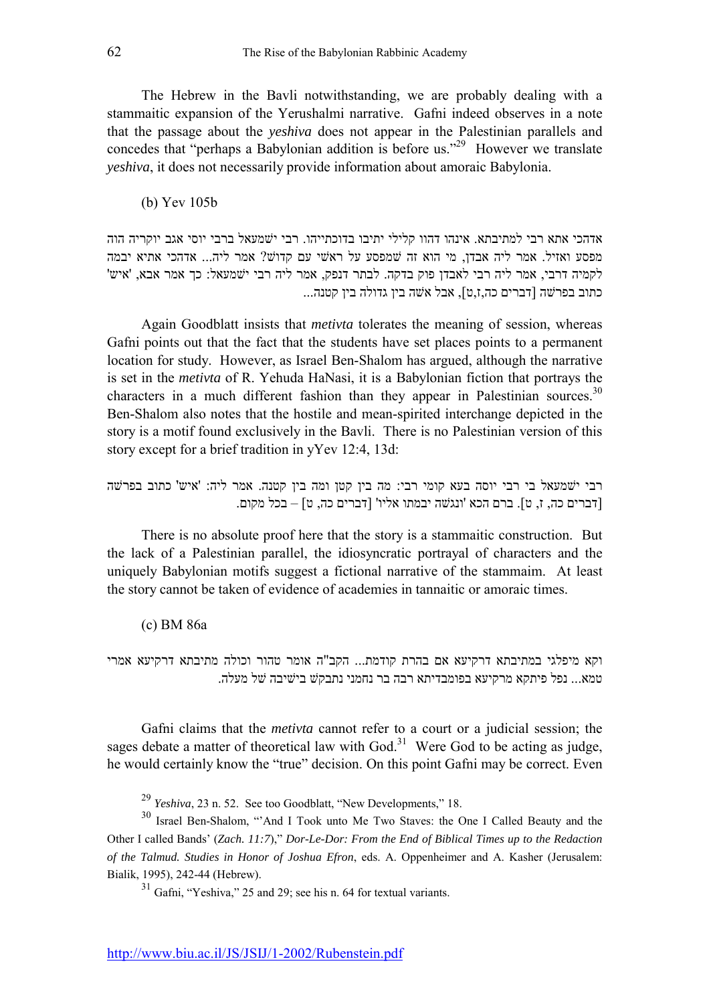The Hebrew in the Bavli notwithstanding, we are probably dealing with a stammaitic expansion of the Yerushalmi narrative. Gafni indeed observes in a note that the passage about the *yeshiva* does not appear in the Palestinian parallels and concedes that "perhaps a Babylonian addition is before us."<sup>29</sup> However we translate *yeshiva*, it does not necessarily provide information about amoraic Babylonia.

(b) Yev 105b

אדהכי אתא רבי למתיבתא. אינהו דהוו קלילי יתיבו בדוכתייהו. רבי יׁמעאל ברבי יוסי אגב יוקריה הוה מפסע ואזיל. אמר ליה אבדן, מי הוא זה שמפסע על ראשי עם קדוש? אמר ליה... אדהכי אתיא יבמה לקמיה דרבי, אמר ליה רבי לאבדן פוק בדקה. לבתר דנפק, אמר ליה רבי יׁמעאל: כך אמר אבא, 'איש' כתוב בפרׁה [דברים כה,ז,ט], אבל אׁה בין גדולה בין קטנה...

Again Goodblatt insists that *metivta* tolerates the meaning of session, whereas Gafni points out that the fact that the students have set places points to a permanent location for study. However, as Israel Ben-Shalom has argued, although the narrative is set in the *metivta* of R. Yehuda HaNasi, it is a Babylonian fiction that portrays the characters in a much different fashion than they appear in Palestinian sources.<sup>30</sup> Ben-Shalom also notes that the hostile and mean-spirited interchange depicted in the story is a motif found exclusively in the Bavli. There is no Palestinian version of this story except for a brief tradition in yYev 12:4, 13d:

רבי יׁמעאל בי רבי יוסה בעא קומי רבי: מה בין קטן ומה בין קטנה. אמר ליה: 'איש'ׁכתוב בפרׁה [דברים כה, ז, ט]. ברם הכא 'ונגׁה יבמתו אליו' [דברים כה, ט] ñ בכל מקום.

There is no absolute proof here that the story is a stammaitic construction. But the lack of a Palestinian parallel, the idiosyncratic portrayal of characters and the uniquely Babylonian motifs suggest a fictional narrative of the stammaim. At least the story cannot be taken of evidence of academies in tannaitic or amoraic times.

(c) BM 86a

וקא מיפלגי במתיבתא דרקיעא אם בהרת קודמת... הקב"ה אומר טהור וכולה מתיבתא דרקיעא אמרי טמא... נפל פיתקא מרקיעא בפומבדיתא רבה בר נחמני נתבקׁ ביׁיבה ׁל מעלה.

Gafni claims that the *metivta* cannot refer to a court or a judicial session; the sages debate a matter of theoretical law with  $God.^31$  Were God to be acting as judge, he would certainly know the "true" decision. On this point Gafni may be correct. Even

 $^{29}$  *Yeshiva*, 23 n. 52. See too Goodblatt, "New Developments," 18.

<sup>30</sup> Israel Ben-Shalom, "And I Took unto Me Two Staves: the One I Called Beauty and the Other I called Bands' (*Zach. 11:7*)," *Dor-Le-Dor: From the End of Biblical Times up to the Redaction of the Talmud. Studies in Honor of Joshua Efron*, eds. A. Oppenheimer and A. Kasher (Jerusalem: Bialik, 1995), 242-44 (Hebrew).

 $31$  Gafni, "Yeshiva," 25 and 29; see his n. 64 for textual variants.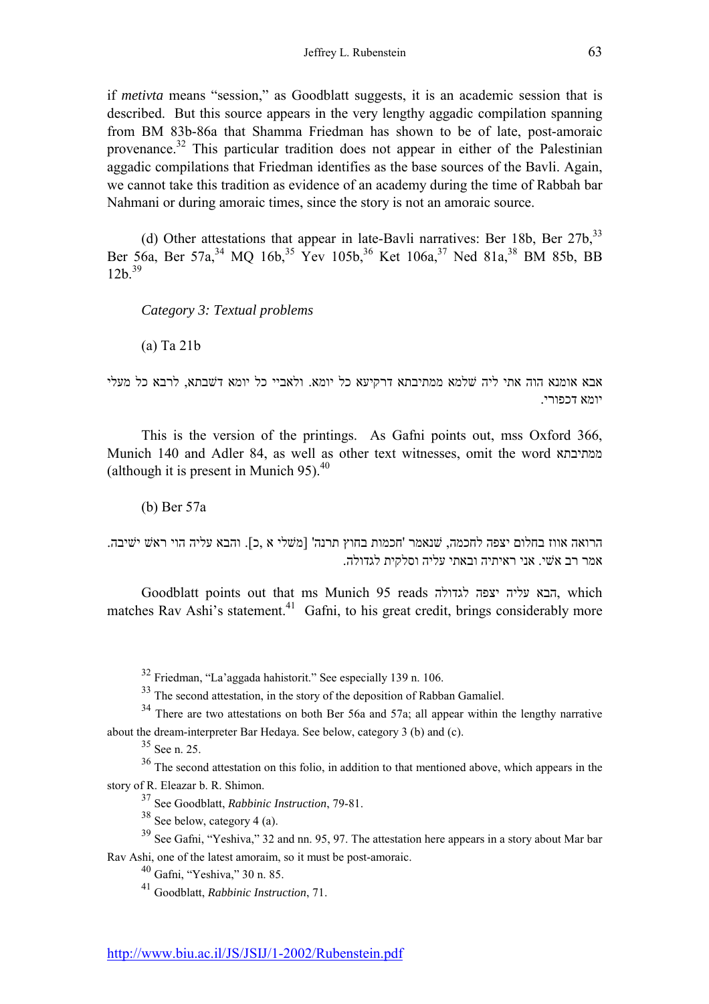if *metivta* means "session," as Goodblatt suggests, it is an academic session that is described. But this source appears in the very lengthy aggadic compilation spanning from BM 83b-86a that Shamma Friedman has shown to be of late, post-amoraic provenance.32 This particular tradition does not appear in either of the Palestinian aggadic compilations that Friedman identifies as the base sources of the Bavli. Again, we cannot take this tradition as evidence of an academy during the time of Rabbah bar Nahmani or during amoraic times, since the story is not an amoraic source.

(d) Other attestations that appear in late-Bavli narratives: Ber 18b, Ber  $27b$ ,  $33$ Ber 56a, Ber 57a, <sup>34</sup> MO 16b, <sup>35</sup> Yev 105b, <sup>36</sup> Ket 106a, <sup>37</sup> Ned 81a, <sup>38</sup> BM 85b, BB  $12h^{39}$ 

*Category 3: Textual problems*

(a) Ta 21b

אבא אומנא הוה אתי ליה ׁלמא ממתיבתא דרקיעא כל יומא. ולאביי כל יומא דׁבתא, לרבא כל מעלי יומא דכפורי.

This is the version of the printings. As Gafni points out, mss Oxford 366, Munich 140 and Adler 84, as well as other text witnesses, omit the word ממתיבתא (although it is present in Munich  $95$ ).<sup>40</sup>

(b) Ber 57a

הרואה אווז בחלום יצפה לחכמה, ׁנאמר 'חכמות בחוץ תרנה' [מׁלי א ,כ]. והבא עליה הוי ראׁ יׁיבה. אמר רב אׁי. אני ראיתיה ובאתי עליה וסלקית לגדולה.

Goodblatt points out that ms Munich 95 reads לגדולה יצפה עליה הבא, which matches Rav Ashi's statement.<sup>41</sup> Gafni, to his great credit, brings considerably more

 $32$  Friedman, "La'aggada hahistorit." See especially 139 n. 106.

<sup>33</sup> The second attestation, in the story of the deposition of Rabban Gamaliel.

<sup>34</sup> There are two attestations on both Ber 56a and 57a; all appear within the lengthy narrative about the dream-interpreter Bar Hedaya. See below, category 3 (b) and (c).

 $35$  See n. 25.

<sup>36</sup> The second attestation on this folio, in addition to that mentioned above, which appears in the story of R. Eleazar b. R. Shimon.

37 See Goodblatt, *Rabbinic Instruction*, 79-81.

 $38$  See below, category 4 (a).

 $39$  See Gafni, "Yeshiva," 32 and nn. 95, 97. The attestation here appears in a story about Mar bar Rav Ashi, one of the latest amoraim, so it must be post-amoraic.

 $40$  Gafni, "Yeshiva," 30 n. 85.

41 Goodblatt, *Rabbinic Instruction*, 71.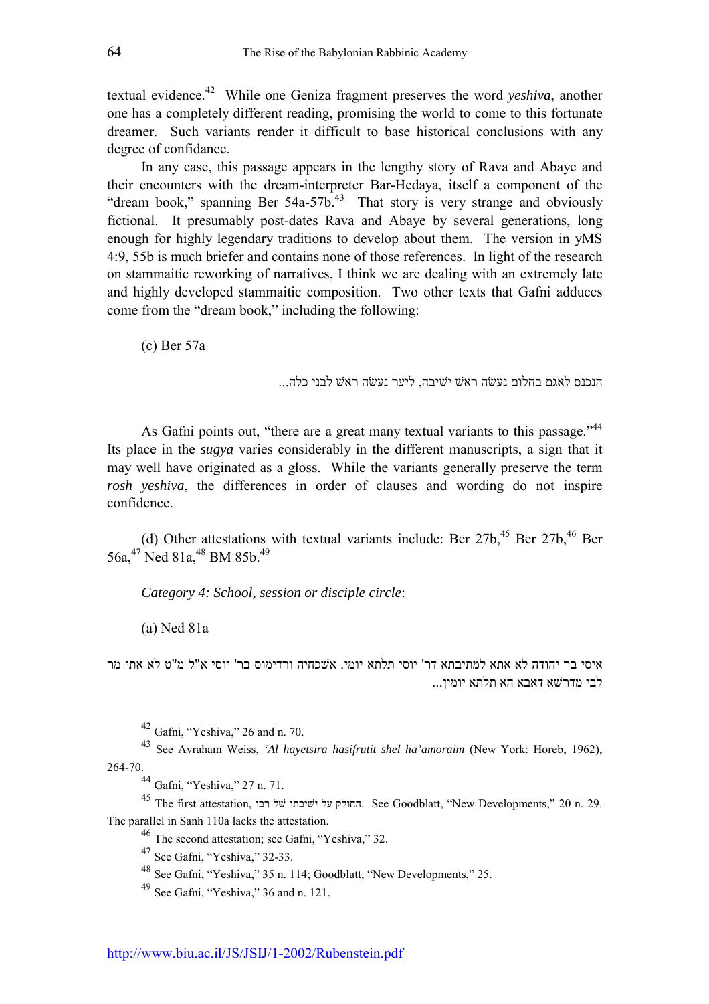textual evidence.42 While one Geniza fragment preserves the word *yeshiva*, another one has a completely different reading, promising the world to come to this fortunate dreamer. Such variants render it difficult to base historical conclusions with any degree of confidance.

In any case, this passage appears in the lengthy story of Rava and Abaye and their encounters with the dream-interpreter Bar-Hedaya, itself a component of the "dream book," spanning Ber 54a-57b.<sup>43</sup> That story is very strange and obviously fictional. It presumably post-dates Rava and Abaye by several generations, long enough for highly legendary traditions to develop about them. The version in yMS 4:9, 55b is much briefer and contains none of those references. In light of the research on stammaitic reworking of narratives, I think we are dealing with an extremely late and highly developed stammaitic composition. Two other texts that Gafni adduces come from the "dream book," including the following:

(c) Ber 57a

הנכנס לאגם בחלום נעשה ראש ישיבה, ליער נעשה ראש לבני כלה...

As Gafni points out, "there are a great many textual variants to this passage."<sup>44</sup> Its place in the *sugya* varies considerably in the different manuscripts, a sign that it may well have originated as a gloss. While the variants generally preserve the term *rosh yeshiva*, the differences in order of clauses and wording do not inspire confidence.

(d) Other attestations with textual variants include: Ber  $27b<sub>1</sub><sup>45</sup>$  Ber  $27b<sub>1</sub><sup>46</sup>$  Ber 56a,<sup>47</sup> Ned 81a,<sup>48</sup> BM 85b,<sup>49</sup>

*Category 4: School, session or disciple circle*:

(a) Ned 81a

איסי בר יהודה לא אתא למתיבתא דר' יוסי תלתא יומי. אׁכחיה ורדימוס בר' יוסי א"ל מ"ט לא אתי מר לבי מדרׁא דאבא הא תלתא יומין...

 $42$  Gafni, "Yeshiva," 26 and n. 70.

43 See Avraham Weiss, *'Al hayetsira hasifrutit shel ha'amoraim* (New York: Horeb, 1962), 264-70.

<sup>44</sup> Gafni, "Yeshiva," 27 n. 71.

 $^{45}$  The first attestation, החולק על ישיבתו של החולק. See Goodblatt, "New Developments," 20 n. 29. The parallel in Sanh 110a lacks the attestation.

 $46$  The second attestation; see Gafni, "Yeshiva," 32.

 $47$  See Gafni, "Yeshiva," 32-33.

<sup>48</sup> See Gafni, "Yeshiva," 35 n. 114; Goodblatt, "New Developments," 25.

 $49$  See Gafni, "Yeshiva," 36 and n. 121.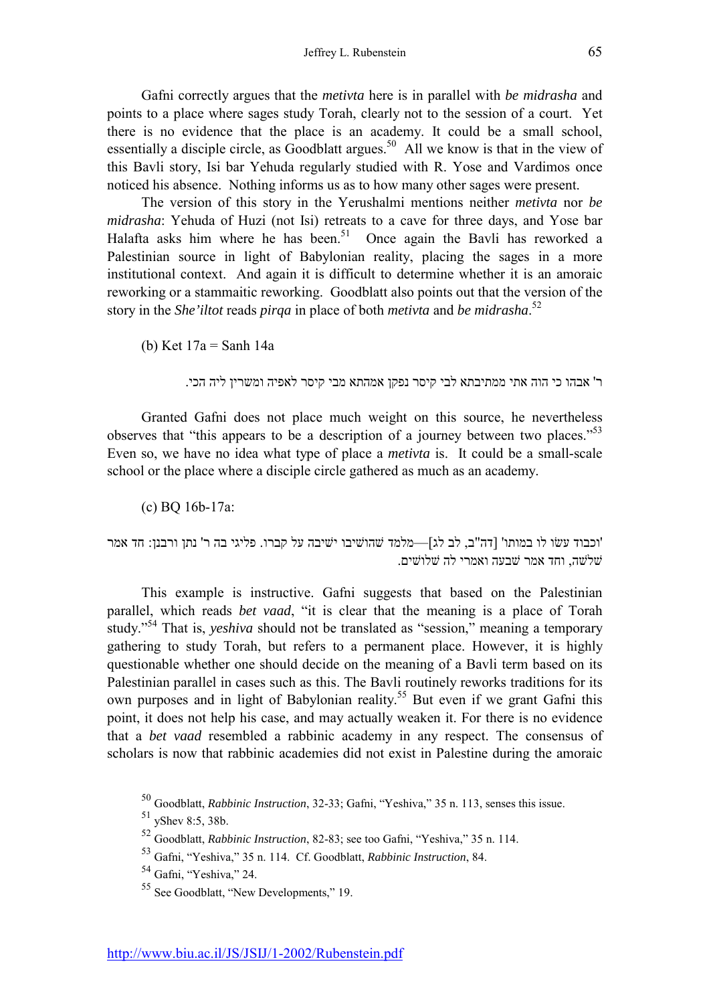Gafni correctly argues that the *metivta* here is in parallel with *be midrasha* and points to a place where sages study Torah, clearly not to the session of a court. Yet there is no evidence that the place is an academy. It could be a small school, essentially a disciple circle, as Goodblatt argues.<sup>50</sup> All we know is that in the view of this Bavli story, Isi bar Yehuda regularly studied with R. Yose and Vardimos once noticed his absence. Nothing informs us as to how many other sages were present.

The version of this story in the Yerushalmi mentions neither *metivta* nor *be midrasha*: Yehuda of Huzi (not Isi) retreats to a cave for three days, and Yose bar Halafta asks him where he has been.<sup>51</sup> Once again the Bavli has reworked a Palestinian source in light of Babylonian reality, placing the sages in a more institutional context. And again it is difficult to determine whether it is an amoraic reworking or a stammaitic reworking. Goodblatt also points out that the version of the story in the *She'iltot* reads *pirqa* in place of both *metivta* and *be midrasha*. 52

(b) Ket 17a = Sanh 14a

ר' אבהו כי הוה אתי ממתיבתא לבי קיסר נפקן אמהתא מבי קיסר לאפיה ומשרין ליה הכי.

Granted Gafni does not place much weight on this source, he nevertheless observes that "this appears to be a description of a journey between two places." $53$ Even so, we have no idea what type of place a *metivta* is. It could be a small-scale school or the place where a disciple circle gathered as much as an academy.

(c) BQ 16b-17a:

'וכבוד עשׂו לו במותו' [דה"ב, לב לג]—מלמד שׁהוֹשיבו ישׁיבה על קברו. פליגי בה ר' נתן ורבנן: חד אמר ׁלׁה, וחד אמר ׁבעה ואמרי לה ׁלוׁים.

This example is instructive. Gafni suggests that based on the Palestinian parallel, which reads *bet vaad*, "it is clear that the meaning is a place of Torah study.<sup>354</sup> That is, *yeshiva* should not be translated as "session," meaning a temporary gathering to study Torah, but refers to a permanent place. However, it is highly questionable whether one should decide on the meaning of a Bavli term based on its Palestinian parallel in cases such as this. The Bavli routinely reworks traditions for its own purposes and in light of Babylonian reality.<sup>55</sup> But even if we grant Gafni this point, it does not help his case, and may actually weaken it. For there is no evidence that a *bet vaad* resembled a rabbinic academy in any respect. The consensus of scholars is now that rabbinic academies did not exist in Palestine during the amoraic

<sup>&</sup>lt;sup>50</sup> Goodblatt, *Rabbinic Instruction*, 32-33; Gafni, "Yeshiva," 35 n. 113, senses this issue.

 $51$  vShev 8:5, 38b.

<sup>&</sup>lt;sup>52</sup> Goodblatt, *Rabbinic Instruction*, 82-83; see too Gafni, "Yeshiva," 35 n. 114.

<sup>&</sup>lt;sup>53</sup> Gafni, "Yeshiva," 35 n. 114. Cf. Goodblatt, *Rabbinic Instruction*, 84.

 $54$  Gafni, "Yeshiya," 24.

 $55$  See Goodblatt, "New Developments," 19.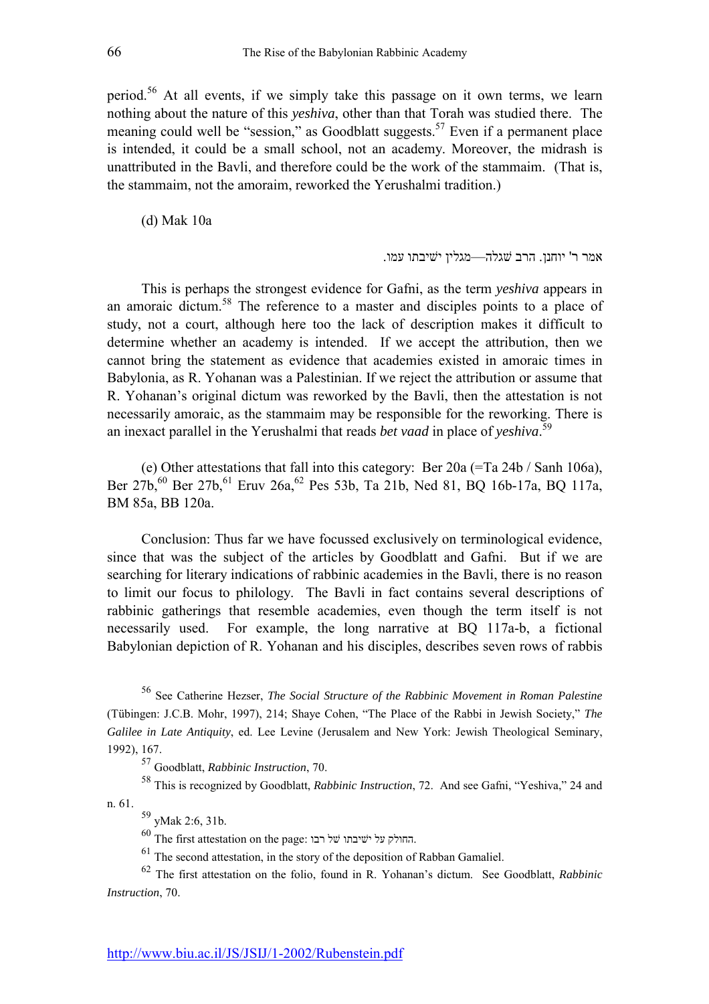period.56 At all events, if we simply take this passage on it own terms, we learn nothing about the nature of this *yeshiva*, other than that Torah was studied there. The meaning could well be "session," as Goodblatt suggests.<sup>57</sup> Even if a permanent place is intended, it could be a small school, not an academy. Moreover, the midrash is unattributed in the Bavli, and therefore could be the work of the stammaim. (That is, the stammaim, not the amoraim, reworked the Yerushalmi tradition.)

(d) Mak 10a

```
אמר ר' יוחנו. הרב שגלה—מגליו ישיבתו עמו.
```
This is perhaps the strongest evidence for Gafni, as the term *yeshiva* appears in an amoraic dictum.58 The reference to a master and disciples points to a place of study, not a court, although here too the lack of description makes it difficult to determine whether an academy is intended. If we accept the attribution, then we cannot bring the statement as evidence that academies existed in amoraic times in Babylonia, as R. Yohanan was a Palestinian. If we reject the attribution or assume that R. Yohanan's original dictum was reworked by the Bavli, then the attestation is not necessarily amoraic, as the stammaim may be responsible for the reworking. There is an inexact parallel in the Yerushalmi that reads *bet vaad* in place of *yeshiva*. 59

(e) Other attestations that fall into this category: Ber 20a (=Ta 24b / Sanh 106a), Ber 27b,<sup>60</sup> Ber 27b,<sup>61</sup> Eruv 26a,<sup>62</sup> Pes 53b, Ta 21b, Ned 81, BQ 16b-17a, BQ 117a, BM 85a, BB 120a.

Conclusion: Thus far we have focussed exclusively on terminological evidence, since that was the subject of the articles by Goodblatt and Gafni. But if we are searching for literary indications of rabbinic academies in the Bavli, there is no reason to limit our focus to philology. The Bavli in fact contains several descriptions of rabbinic gatherings that resemble academies, even though the term itself is not necessarily used. For example, the long narrative at BQ 117a-b, a fictional Babylonian depiction of R. Yohanan and his disciples, describes seven rows of rabbis

56 See Catherine Hezser, *The Social Structure of the Rabbinic Movement in Roman Palestine* (Tübingen: J.C.B. Mohr, 1997), 214; Shaye Cohen, "The Place of the Rabbi in Jewish Society," The *Galilee in Late Antiquity*, ed. Lee Levine (Jerusalem and New York: Jewish Theological Seminary, 1992), 167.

57 Goodblatt, *Rabbinic Instruction*, 70.

<sup>58</sup> This is recognized by Goodblatt, *Rabbinic Instruction*, 72. And see Gafni, "Yeshiva," 24 and n. 61.

59 yMak 2:6, 31b.

 $^{60}$  The first attestation on the page: החולק על ישיבתו על החולק.

 $61$  The second attestation, in the story of the deposition of Rabban Gamaliel.

62 The first attestation on the folio, found in R. Yohananís dictum. See Goodblatt, *Rabbinic Instruction*, 70.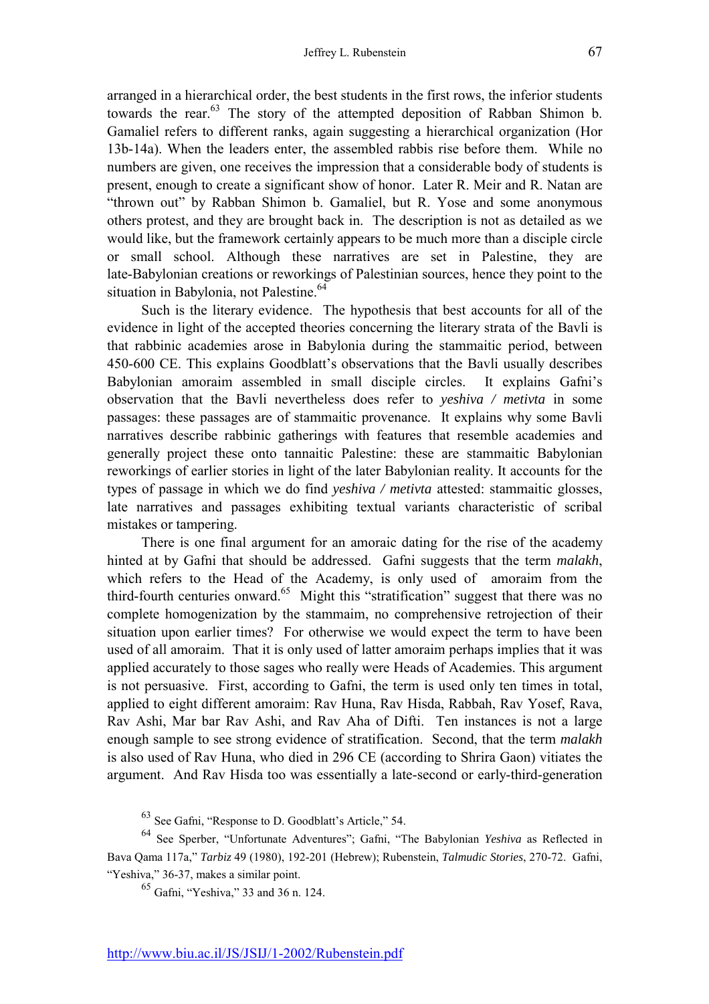arranged in a hierarchical order, the best students in the first rows, the inferior students towards the rear.<sup>63</sup> The story of the attempted deposition of Rabban Shimon b. Gamaliel refers to different ranks, again suggesting a hierarchical organization (Hor 13b-14a). When the leaders enter, the assembled rabbis rise before them. While no numbers are given, one receives the impression that a considerable body of students is present, enough to create a significant show of honor. Later R. Meir and R. Natan are "thrown out" by Rabban Shimon b. Gamaliel, but R. Yose and some anonymous others protest, and they are brought back in. The description is not as detailed as we would like, but the framework certainly appears to be much more than a disciple circle or small school. Although these narratives are set in Palestine, they are late-Babylonian creations or reworkings of Palestinian sources, hence they point to the situation in Babylonia, not Palestine.<sup>64</sup>

Such is the literary evidence. The hypothesis that best accounts for all of the evidence in light of the accepted theories concerning the literary strata of the Bavli is that rabbinic academies arose in Babylonia during the stammaitic period, between 450-600 CE. This explains Goodblatt's observations that the Bavli usually describes Babylonian amoraim assembled in small disciple circles. It explains Gafni's observation that the Bavli nevertheless does refer to *yeshiva / metivta* in some passages: these passages are of stammaitic provenance. It explains why some Bavli narratives describe rabbinic gatherings with features that resemble academies and generally project these onto tannaitic Palestine: these are stammaitic Babylonian reworkings of earlier stories in light of the later Babylonian reality. It accounts for the types of passage in which we do find *yeshiva / metivta* attested: stammaitic glosses, late narratives and passages exhibiting textual variants characteristic of scribal mistakes or tampering.

There is one final argument for an amoraic dating for the rise of the academy hinted at by Gafni that should be addressed. Gafni suggests that the term *malakh*, which refers to the Head of the Academy, is only used of amoraim from the third-fourth centuries onward.<sup>65</sup> Might this "stratification" suggest that there was no complete homogenization by the stammaim, no comprehensive retrojection of their situation upon earlier times? For otherwise we would expect the term to have been used of all amoraim. That it is only used of latter amoraim perhaps implies that it was applied accurately to those sages who really were Heads of Academies. This argument is not persuasive. First, according to Gafni, the term is used only ten times in total, applied to eight different amoraim: Rav Huna, Rav Hisda, Rabbah, Rav Yosef, Rava, Rav Ashi, Mar bar Rav Ashi, and Rav Aha of Difti. Ten instances is not a large enough sample to see strong evidence of stratification. Second, that the term *malakh* is also used of Rav Huna, who died in 296 CE (according to Shrira Gaon) vitiates the argument. And Rav Hisda too was essentially a late-second or early-third-generation

 $63$  See Gafni, "Response to D. Goodblatt's Article," 54.

<sup>64</sup> See Sperber, "Unfortunate Adventures"; Gafni, "The Babylonian *Yeshiva* as Reflected in Bava Qama 117a,î *Tarbiz* 49 (1980), 192-201 (Hebrew); Rubenstein, *Talmudic Stories*, 270-72. Gafni, "Yeshiva," 36-37, makes a similar point.

 $65$  Gafni. "Yeshiva," 33 and 36 n. 124.